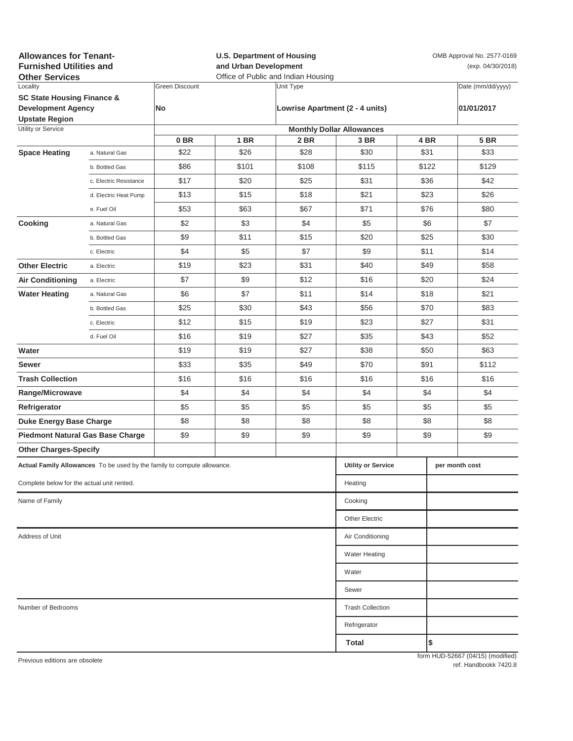| <b>Allowances for Tenant-</b><br><b>Furnished Utilities and</b><br><b>Other Services</b> |                         |                       | <b>U.S. Department of Housing</b><br>and Urban Development<br>Office of Public and Indian Housing |           |                                  |      | OMB Approval No. 2577-0169<br>(exp. 04/30/2018) |                                   |  |
|------------------------------------------------------------------------------------------|-------------------------|-----------------------|---------------------------------------------------------------------------------------------------|-----------|----------------------------------|------|-------------------------------------------------|-----------------------------------|--|
| Locality                                                                                 |                         | <b>Green Discount</b> |                                                                                                   | Unit Type |                                  |      |                                                 | Date (mm/dd/yyyy)                 |  |
| <b>SC State Housing Finance &amp;</b><br><b>Development Agency</b>                       |                         | No                    |                                                                                                   |           | Lowrise Apartment (2 - 4 units)  |      |                                                 | 01/01/2017                        |  |
| <b>Upstate Region</b><br>Utility or Service                                              |                         |                       |                                                                                                   |           | <b>Monthly Dollar Allowances</b> |      |                                                 |                                   |  |
|                                                                                          |                         | 0 <sub>BR</sub>       | 1 BR                                                                                              | 2 BR      | 3 BR                             |      | 4 BR                                            | <b>5 BR</b>                       |  |
| <b>Space Heating</b>                                                                     | a. Natural Gas          | \$22                  | \$26                                                                                              | \$28      | \$30                             |      | \$31                                            | \$33                              |  |
|                                                                                          | b. Bottled Gas          | \$86                  | \$101                                                                                             | \$108     | \$115                            |      | \$122                                           | \$129                             |  |
|                                                                                          | c. Electric Resistance  | \$17                  | \$20                                                                                              | \$25      | \$31                             | \$36 |                                                 | \$42                              |  |
|                                                                                          | d. Electric Heat Pump   | \$13                  | \$15                                                                                              | \$18      | \$21                             |      | \$23                                            | \$26                              |  |
|                                                                                          | e. Fuel Oil             | \$53                  | \$63                                                                                              | \$67      | \$71                             |      | \$76                                            | \$80                              |  |
| Cooking                                                                                  | a. Natural Gas          | \$2                   | \$3                                                                                               | \$4       | \$5                              |      | \$6                                             | \$7                               |  |
|                                                                                          | b. Bottled Gas          | \$9                   | \$11                                                                                              | \$15      | \$20                             | \$25 |                                                 | \$30                              |  |
|                                                                                          | c. Electric             | \$4                   | \$5                                                                                               | \$7       | \$9                              |      | \$11                                            | \$14                              |  |
| <b>Other Electric</b>                                                                    | a. Electric             | \$19                  | \$23                                                                                              | \$31      | \$40                             | \$49 |                                                 | \$58                              |  |
| <b>Air Conditioning</b>                                                                  | a. Electric             | \$7                   | \$9                                                                                               | \$12      | \$16                             | \$20 |                                                 | \$24                              |  |
| <b>Water Heating</b>                                                                     | a. Natural Gas          | \$6                   | \$7                                                                                               | \$11      | \$14                             | \$18 |                                                 | \$21                              |  |
|                                                                                          | b. Bottled Gas          | \$25                  | \$30                                                                                              | \$43      | \$56                             |      | \$70                                            | \$83                              |  |
|                                                                                          | c. Electric             | \$12                  | \$15                                                                                              | \$19      | \$23                             |      | \$27                                            | \$31                              |  |
|                                                                                          | d. Fuel Oil             | \$16                  | \$19                                                                                              | \$27      | \$35                             |      | \$43                                            | \$52                              |  |
| Water                                                                                    |                         | \$19                  | \$19                                                                                              | \$27      | \$38                             |      | \$50                                            | \$63                              |  |
| Sewer                                                                                    |                         | \$33                  | \$35                                                                                              | \$49      | \$70                             |      | \$91                                            | \$112                             |  |
| <b>Trash Collection</b>                                                                  |                         | \$16                  | \$16                                                                                              | \$16      | \$16                             | \$16 |                                                 | \$16                              |  |
| Range/Microwave                                                                          |                         | \$4                   | \$4                                                                                               | \$4       | \$4                              | \$4  |                                                 | \$4                               |  |
| Refrigerator                                                                             |                         | \$5                   | \$5                                                                                               | \$5       | \$5                              | \$5  |                                                 | \$5                               |  |
| <b>Duke Energy Base Charge</b>                                                           |                         | \$8                   | \$8                                                                                               | \$8       | \$8                              | \$8  |                                                 | \$8                               |  |
| <b>Piedmont Natural Gas Base Charge</b>                                                  |                         | \$9                   | \$9                                                                                               | \$9       | \$9                              | \$9  |                                                 | \$9                               |  |
| <b>Other Charges-Specify</b>                                                             |                         |                       |                                                                                                   |           |                                  |      |                                                 |                                   |  |
| Actual Family Allowances To be used by the family to compute allowance.                  |                         |                       |                                                                                                   |           | <b>Utility or Service</b>        |      |                                                 | per month cost                    |  |
| Complete below for the actual unit rented.                                               |                         |                       |                                                                                                   |           | Heating                          |      |                                                 |                                   |  |
| Name of Family                                                                           |                         |                       |                                                                                                   |           | Cooking                          |      |                                                 |                                   |  |
|                                                                                          |                         |                       |                                                                                                   |           | <b>Other Electric</b>            |      |                                                 |                                   |  |
| Address of Unit                                                                          | Air Conditioning        |                       |                                                                                                   |           |                                  |      |                                                 |                                   |  |
|                                                                                          |                         |                       |                                                                                                   |           | <b>Water Heating</b>             |      |                                                 |                                   |  |
|                                                                                          |                         |                       |                                                                                                   |           | Water                            |      |                                                 |                                   |  |
|                                                                                          |                         |                       |                                                                                                   |           | Sewer                            |      |                                                 |                                   |  |
| Number of Bedrooms                                                                       | <b>Trash Collection</b> |                       |                                                                                                   |           |                                  |      |                                                 |                                   |  |
|                                                                                          |                         |                       |                                                                                                   |           | Refrigerator                     |      |                                                 |                                   |  |
|                                                                                          |                         |                       |                                                                                                   |           | Total                            |      | \$                                              |                                   |  |
| Previous editions are obsolete                                                           |                         |                       |                                                                                                   |           |                                  |      |                                                 | form HUD-52667 (04/15) (modified) |  |